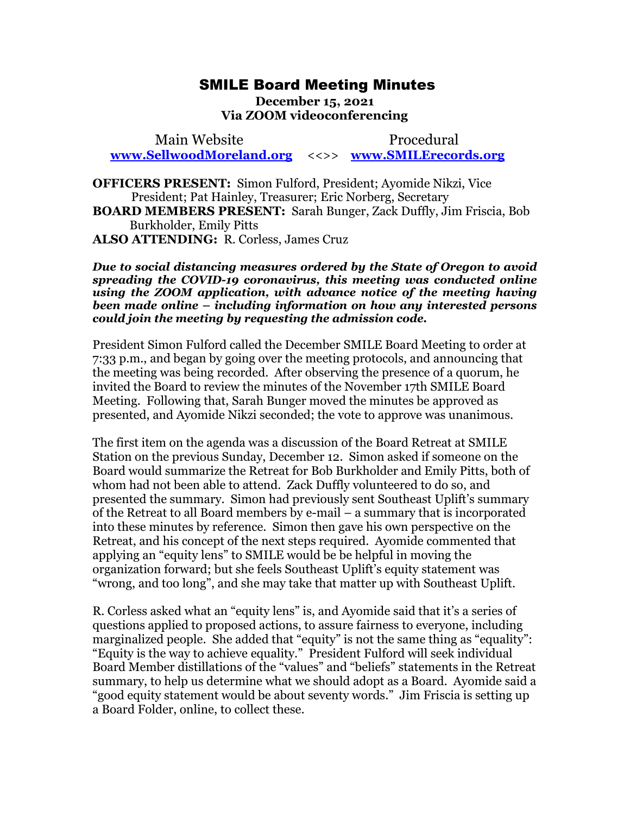## SMILE Board Meeting Minutes

**December 15, 2021 Via ZOOM videoconferencing** 

 Main Website Procedural **[www.SellwoodMoreland.org](http://www.sellwoodmoreland.org/)** <<>> **[www.SMILErecords.org](http://www.smilerecords.org/)**

**OFFICERS PRESENT:** Simon Fulford, President; Ayomide Nikzi, Vice President; Pat Hainley, Treasurer; Eric Norberg, Secretary **BOARD MEMBERS PRESENT:** Sarah Bunger, Zack Duffly, Jim Friscia, Bob Burkholder, Emily Pitts **ALSO ATTENDING:** R. Corless, James Cruz

*Due to social distancing measures ordered by the State of Oregon to avoid spreading the COVID-19 coronavirus, this meeting was conducted online using the ZOOM application, with advance notice of the meeting having been made online – including information on how any interested persons could join the meeting by requesting the admission code.*

President Simon Fulford called the December SMILE Board Meeting to order at 7:33 p.m., and began by going over the meeting protocols, and announcing that the meeting was being recorded. After observing the presence of a quorum, he invited the Board to review the minutes of the November 17th SMILE Board Meeting. Following that, Sarah Bunger moved the minutes be approved as presented, and Ayomide Nikzi seconded; the vote to approve was unanimous.

The first item on the agenda was a discussion of the Board Retreat at SMILE Station on the previous Sunday, December 12. Simon asked if someone on the Board would summarize the Retreat for Bob Burkholder and Emily Pitts, both of whom had not been able to attend. Zack Duffly volunteered to do so, and presented the summary. Simon had previously sent Southeast Uplift's summary of the Retreat to all Board members by e-mail – a summary that is incorporated into these minutes by reference. Simon then gave his own perspective on the Retreat, and his concept of the next steps required. Ayomide commented that applying an "equity lens" to SMILE would be be helpful in moving the organization forward; but she feels Southeast Uplift's equity statement was "wrong, and too long", and she may take that matter up with Southeast Uplift.

R. Corless asked what an "equity lens" is, and Ayomide said that it's a series of questions applied to proposed actions, to assure fairness to everyone, including marginalized people. She added that "equity" is not the same thing as "equality": "Equity is the way to achieve equality." President Fulford will seek individual Board Member distillations of the "values" and "beliefs" statements in the Retreat summary, to help us determine what we should adopt as a Board. Ayomide said a "good equity statement would be about seventy words." Jim Friscia is setting up a Board Folder, online, to collect these.